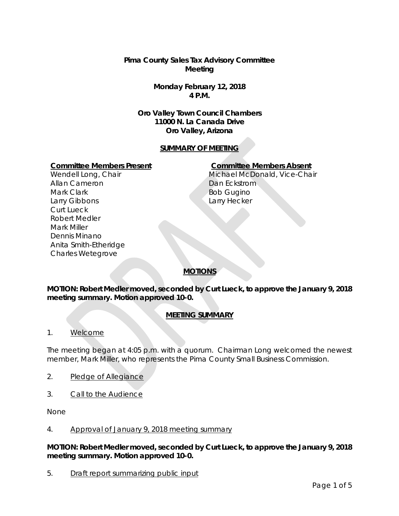**Pima County Sales Tax Advisory Committee Meeting**

> **Monday February 12, 2018 4 P.M.**

**Oro Valley Town Council Chambers 11000 N. La Canada Drive Oro Valley, Arizona**

## **SUMMARY OF MEETING**

#### **Committee Members Present Committee Members Absent**

Wendell Long, Chair Allan Cameron Mark Clark Larry Gibbons Curt Lueck Robert Medler Mark Miller Dennis Minano Anita Smith-Etheridge Charles Wetegrove

Michael McDonald, Vice-Chair Dan Eckstrom Bob Gugino Larry Hecker

# **MOTIONS**

**MOTION: Robert Medler moved, seconded by Curt Lueck, to approve the January 9, 2018 meeting summary. Motion approved 10-0.** 

# **MEETING SUMMARY**

1. Welcome

The meeting began at 4:05 p.m. with a quorum. Chairman Long welcomed the newest member, Mark Miller, who represents the Pima County Small Business Commission.

- 2. Pledge of Allegiance
- 3. Call to the Audience

None

#### 4. Approval of January 9, 2018 meeting summary

**MOTION: Robert Medler moved, seconded by Curt Lueck, to approve the January 9, 2018 meeting summary. Motion approved 10-0.** 

5. Draft report summarizing public input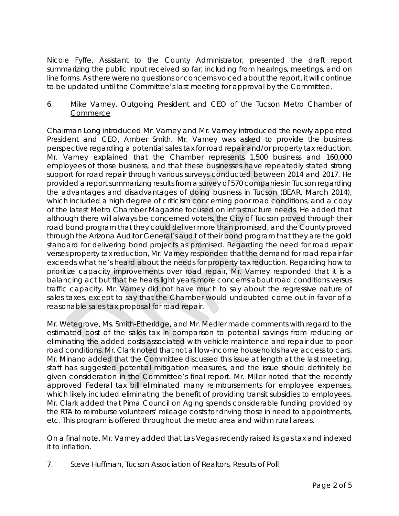Nicole Fyffe, Assistant to the County Administrator, presented the draft report summarizing the public input received so far, including from hearings, meetings, and on line forms. As there were no questions or concerns voiced about the report, it will continue to be updated until the Committee's last meeting for approval by the Committee.

## 6. Mike Varney, Outgoing President and CEO of the Tucson Metro Chamber of Commerce

Chairman Long introduced Mr. Varney and Mr. Varney introduced the newly appointed President and CEO, Amber Smith. Mr. Varney was asked to provide the business perspective regarding a potential sales tax for road repair and/or property tax reduction. Mr. Varney explained that the Chamber represents 1,500 business and 160,000 employees of those business, and that these businesses have repeatedly stated strong support for road repair through various surveys conducted between 2014 and 2017. He provided a report summarizing results from a survey of 570 companies in Tucson regarding the advantages and disadvantages of doing business in Tucson (BEAR, March 2014), which included a high degree of criticism concerning poor road conditions, and a copy of the latest Metro Chamber Magazine focused on infrastructure needs. He added that although there will always be concerned voters, the City of Tucson proved through their road bond program that they could deliver more than promised, and the County proved through the Arizona Auditor General's audit of their bond program that they are the gold standard for delivering bond projects as promised. Regarding the need for road repair verses property tax reduction, Mr. Varney responded that the demand for road repair far exceeds what he's heard about the needs for property tax reduction. Regarding how to prioritize capacity improvements over road repair, Mr. Varney responded that it is a balancing act but that he hears light years more concerns about road conditions versus traffic capacity. Mr. Varney did not have much to say about the regressive nature of sales taxes, except to say that the Chamber would undoubted come out in favor of a reasonable sales tax proposal for road repair.

Mr. Wetegrove, Ms. Smith-Etheridge, and Mr. Medler made comments with regard to the estimated cost of the sales tax in comparison to potential savings from reducing or eliminating the added costs associated with vehicle maintence and repair due to poor road conditions. Mr. Clark noted that not all low-income households have access to cars. Mr. Minano added that the Committee discussed this issue at length at the last meeting, staff has suggested potential mitigation measures, and the issue should definitely be given consideration in the Committee's final report. Mr. Miller noted that the recently approved Federal tax bill eliminated many reimbursements for employee expenses, which likely included eliminating the benefit of providing transit subsidies to employees. Mr. Clark added that Pima Council on Aging spends considerable funding provided by the RTA to reimburse volunteers' mileage costs for driving those in need to appointments, etc. This program is offered throughout the metro area and within rural areas.

On a final note, Mr. Varney added that Las Vegas recently raised its gas tax and indexed it to inflation.

7. Steve Huffman, Tucson Association of Realtors, Results of Poll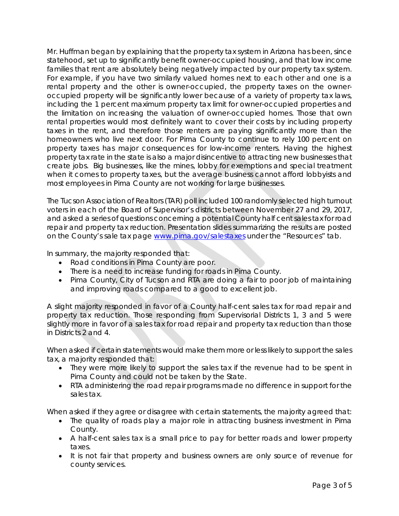Mr. Huffman began by explaining that the property tax system in Arizona has been, since statehood, set up to significantly benefit owner-occupied housing, and that low income families that rent are absolutely being negatively impacted by our property tax system. For example, if you have two similarly valued homes next to each other and one is a rental property and the other is owner-occupied, the property taxes on the owneroccupied property will be significantly lower because of a variety of property tax laws, including the 1 percent maximum property tax limit for owner-occupied properties and the limitation on increasing the valuation of owner-occupied homes. Those that own rental properties would most definitely want to cover their costs by including property taxes in the rent, and therefore those renters are paying significantly more than the homeowners who live next door. For Pima County to continue to rely 100 percent on property taxes has major consequences for low-income renters. Having the highest property tax rate in the state is also a major disincentive to attracting new businesses that create jobs. Big businesses, like the mines, lobby for exemptions and special treatment when it comes to property taxes, but the average business cannot afford lobbyists and most employees in Pima County are not working for large businesses.

The Tucson Association of Realtors (TAR) poll included 100 randomly selected high turnout voters in each of the Board of Supervisor's districts between November 27 and 29, 2017, and asked a series of questions concerning a potential County half cent sales tax for road repair and property tax reduction. Presentation slides summarizing the results are posted on the County's sale tax page [www.pima.gov/salestaxes](http://www.pima.gov/salestaxes) under the "Resources" tab.

In summary, the majority responded that:

- Road conditions in Pima County are poor.
- There is a need to increase funding for roads in Pima County.
- Pima County, City of Tucson and RTA are doing a fair to poor job of maintaining and improving roads compared to a good to excellent job.

A slight majority responded in favor of a County half-cent sales tax for road repair and property tax reduction. Those responding from Supervisorial Districts 1, 3 and 5 were slightly more in favor of a sales tax for road repair and property tax reduction than those in Districts 2 and 4.

When asked if certain statements would make them more or less likely to support the sales tax, a majority responded that:

- They were more likely to support the sales tax if the revenue had to be spent in Pima County and could not be taken by the State.
- RTA administering the road repair programs made no difference in support for the sales tax.

When asked if they agree or disagree with certain statements, the majority agreed that:

- The quality of roads play a major role in attracting business investment in Pima County.
- A half-cent sales tax is a small price to pay for better roads and lower property taxes.
- It is not fair that property and business owners are only source of revenue for county services.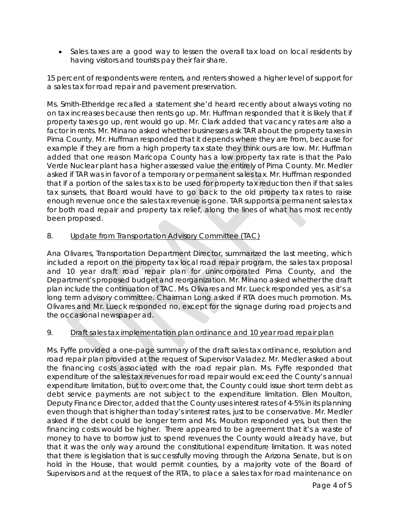• Sales taxes are a good way to lessen the overall tax load on local residents by having visitors and tourists pay their fair share.

15 percent of respondents were renters, and renters showed a higher level of support for a sales tax for road repair and pavement preservation.

Ms. Smith-Etheridge recalled a statement she'd heard recently about always voting no on tax increases because then rents go up. Mr. Huffman responded that it is likely that if property taxes go up, rent would go up. Mr. Clark added that vacancy rates are also a factor in rents. Mr. Minano asked whether businesses ask TAR about the property taxes in Pima County. Mr. Huffman responded that it depends where they are from, because for example if they are from a high property tax state they think ours are low. Mr. Huffman added that one reason Maricopa County has a low property tax rate is that the Palo Verde Nuclear plant has a higher assessed value the entirely of Pima County. Mr. Medler asked if TAR was in favor of a temporary or permanent sales tax. Mr. Huffman responded that if a portion of the sales tax is to be used for property tax reduction then if that sales tax sunsets, that Board would have to go back to the old property tax rates to raise enough revenue once the sales tax revenue is gone. TAR supports a permanent sales tax for both road repair and property tax relief, along the lines of what has most recently been proposed.

# 8. Update from Transportation Advisory Committee (TAC)

Ana Olivares, Transportation Department Director, summarized the last meeting, which included a report on the property tax local road repair program, the sales tax proposal and 10 year draft road repair plan for unincorporated Pima County, and the Department's proposed budget and reorganization. Mr. Minano asked whether the draft plan include the continuation of TAC. Ms. Olivares and Mr. Lueck responded yes, as it's a long term advisory committee. Chairman Long asked if RTA does much promotion. Ms. Olivares and Mr. Lueck responded no, except for the signage during road projects and the occasional newspaper ad.

# 9. Draft sales tax implementation plan ordinance and 10 year road repair plan

Ms. Fyffe provided a one-page summary of the draft sales tax ordinance, resolution and road repair plan provided at the request of Supervisor Valadez. Mr. Medler asked about the financing costs associated with the road repair plan. Ms. Fyffe responded that expenditure of the sales tax revenues for road repair would exceed the County's annual expenditure limitation, but to overcome that, the County could issue short term debt as debt service payments are not subject to the expenditure limitation. Ellen Moulton, Deputy Finance Director, added that the County uses interest rates of 4-5% in its planning even though that is higher than today's interest rates, just to be conservative. Mr. Medler asked if the debt could be longer term and Ms. Moulton responded yes, but then the financing costs would be higher. There appeared to be agreement that it's a waste of money to have to borrow just to spend revenues the County would already have, but that it was the only way around the constitutional expenditure limitation. It was noted that there is legislation that is successfully moving through the Arizona Senate, but is on hold in the House, that would permit counties, by a majority vote of the Board of Supervisors and at the request of the RTA, to place a sales tax for road maintenance on